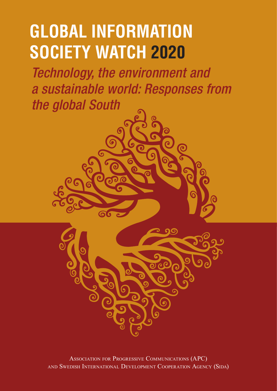# **GLOBAL INFORMATION SOCIETY WATCH 2020**

*Technology, the environment and a sustainable world: Responses from the global South*



Association for Progressive Communications (APC) AND SWEDISH INTERNATIONAL DEVELOPMENT COOPERATION AGENCY (SIDA)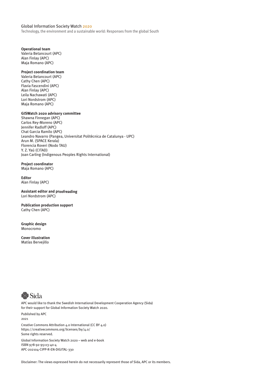#### Global Information Society Watch 2020

Technology, the environment and a sustainable world: Responses from the global South

#### **Operational team**

Valeria Betancourt (APC) Alan Finlay (APC) Maja Romano (APC)

#### **Project coordination team**

Valeria Betancourt (APC) Cathy Chen (APC) Flavia Fascendini (APC) Alan Finlay (APC) Leila Nachawati (APC) Lori Nordstrom (APC) Maja Romano (APC)

#### **GISWatch 2020 advisory committee**

Shawna Finnegan (APC) Carlos Rey-Moreno (APC) Jennifer Radloff (APC) Chat Garcia Ramilo (APC) Leandro Navarro (Pangea, Universitat Politècnica de Catalunya - UPC) Arun M. (SPACE Kerala) Florencia Roveri (Nodo TAU) Y. Z. Yaú (CITAD) Joan Carling (Indigenous Peoples Rights International)

**Project coordinator** Maja Romano (APC)

#### **Editor** Alan Finlay (APC)

**Assistant editor and proofreading** Lori Nordstrom (APC)

**Publication production support** Cathy Chen (APC)

**Graphic design** Monocromo

**Cover illustration** Matías Bervejillo



APC would like to thank the Swedish International Development Cooperation Agency (Sida) for their support for Global Information Society Watch 2020. Published by APC 2021 Creative Commons Attribution 4.0 International (CC BY 4.0) https://creativecommons.org/licenses/by/4.0/ Some rights reserved. Global Information Society Watch 2020 – web and e-book ISBN 978-92-95113-40-4 APC-202104-CIPP-R-EN-DIGITAL-330

Disclaimer: The views expressed herein do not necessarily represent those of Sida, APC or its members.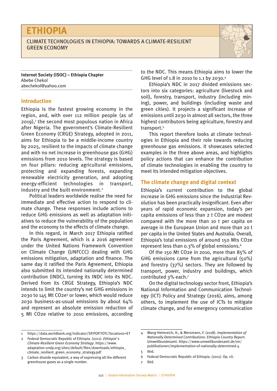### **ETHIOPIA**

#### CLIMATE TECHNOLOGIES IN ETHIOPIA: TOWARDS A CLIMATE-RESILIENT GREEN ECONOMY



**Internet Society (ISOC) – Ethiopia Chapter**  Abebe Chekol [abechekol@yahoo.com](mailto:abechekol@yahoo.com)

#### **Introduction**

Ethiopia is the fastest growing economy in the region, and, with over 112 million people (as of 2019),<sup>1</sup> the second most populous nation in Africa after Nigeria. The government's Climate-Resilient Green Economy (CRGE) Strategy, adopted in 2011, aims for Ethiopia to be a middle-income country by 2025, resilient to the impacts of climate change and with no net increase in greenhouse gas (GHG) emissions from 2010 levels. The strategy is based on four pillars: reducing agricultural emissions, protecting and expanding forests, expanding renewable electricity generation, and adopting energy-efficient technologies in transport, industry and the built environment.<sup>2</sup>

Political leaders worldwide realise the need for immediate and effective action to respond to climate change. These responses include actions to reduce GHG emissions as well as adaptation initiatives to reduce the vulnerability of the population and the economy to the effects of climate change.

In this regard, in March 2017 Ethiopia ratified the Paris Agreement, which is a 2016 agreement under the United Nations Framework Convention on Climate Change (UNFCCC) dealing with GHG emissions mitigation, adaptation and finance. The same day it ratified the Paris Agreement, Ethiopia also submitted its intended nationally determined contribution (INDC), turning its INDC into its NDC. Derived from its CRGE Strategy, Ethiopia's NDC intends to limit the country's net GHG emissions in 2030 to 145 Mt CO2e<sup>3</sup> or lower, which would reduce 2030 business-as-usual emissions by about 64% and represent an absolute emission reduction of 5 Mt CO2e relative to 2010 emissions, according

to the NDC. This means Ethiopia aims to lower the GHG level of 1.8 in 2010 to 1.1 by 2030.4

Ethiopia's NDC in 2017 divided emissions sectors into six categories: agriculture (livestock and soil), forestry, transport, industry (including mining), power, and buildings (including waste and green cities). It projects a significant increase of emissions until 2030 in almost all sectors, the three highest contributors being agriculture, forestry and transport.5

This report therefore looks at climate technologies in Ethiopia and their role towards reducing greenhouse gas emissions. It showcases selected examples in the three above areas, and highlights policy actions that can enhance the contribution of climate technologies in enabling the country to meet its intended mitigation objectives.

#### **The climate change and digital context**

Ethiopia's current contribution to the global increase in GHG emissions since the Industrial Revolution has been practically insignificant. Even after years of rapid economic expansion, today's per capita emissions of less than 2 t CO2e are modest compared with the more than 10 t per capita on average in the European Union and more than 20 t per capita in the United States and Australia. Overall, Ethiopia's total emissions of around 150 Mts CO2e represent less than 0.3% of global emissions.6

Of the 150 Mt CO2e in 2010, more than 85% of GHG emissions came from the agricultural (50%) and forestry (37%) sectors. They are followed by transport, power, industry and buildings, which contributed 3% each.7

On the digital technology sector front, Ethiopia's National Information and Communication Technology (ICT) Policy and Strategy (2016), aims, among others, to implement the use of ICTs to mitigate climate change, and for emergency communication

<sup>1</sup> <https://data.worldbank.org/indicator/SP.POP.TOTL?locations=ET>

<sup>2</sup> Federal Democratic Republic of Ethiopia. (2011). *Ethiopia's Climate-Resilient Green Economy Strategy*. [https://www.](https://www.adaptation-undp.org/sites/default/files/downloads/ethiopia_climate_resilient_green_economy_strategy.pdf) [adaptation-undp.org/sites/default/files/downloads/ethiopia\\_](https://www.adaptation-undp.org/sites/default/files/downloads/ethiopia_climate_resilient_green_economy_strategy.pdf) [climate\\_resilient\\_green\\_economy\\_strategy.pdf](https://www.adaptation-undp.org/sites/default/files/downloads/ethiopia_climate_resilient_green_economy_strategy.pdf)

<sup>3</sup> Carbon dioxide equivalent, a way of expressing all the different greenhouse gases as a single number.

<sup>4</sup> Wang-Helmreich, H., & Mersmann, F. (2018). *Implementation of Nationally Determined Contributions: Ethiopia Country Report*. Umweltbundesamt. [https://www.umweltbundesamt.de/en/](https://www.umweltbundesamt.de/en/publikationen/implementation-of-nationally-determined-4) [publikationen/implementation-of-nationally-determined-4](https://www.umweltbundesamt.de/en/publikationen/implementation-of-nationally-determined-4) 5 Ibid.

<sup>6</sup> Federal Democratic Republic of Ethiopia. (2011). Op. cit.

<sup>7</sup> Ibid.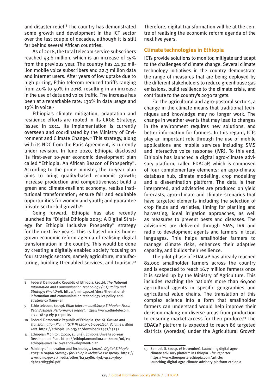and disaster relief.<sup>8</sup> The country has demonstrated some growth and development in the ICT sector over the last couple of decades, although it is still far behind several African countries.

As of 2018, the total telecom service subscribers reached 43.6 million, which is an increase of 15% from the previous year. The country has 41.92 million mobile voice subscribers and 22.3 million data and internet users. After years of low uptake due to high pricing, Ethio telecom reduced tariffs ranging from 40% to 50% in 2018, resulting in an increase in the use of data and voice traffic. The increase has been at a remarkable rate: 130% in data usage and 19% in voice.9

Ethiopia's climate mitigation, adaptation and resilience efforts are rooted in its CRGE Strategy, issued in 2011. Its implementation is currently overseen and coordinated by the Ministry of Environment and Climate Change.10 This strategy, along with its NDC from the Paris Agreement, is currently under revision. In June 2020, Ethiopia disclosed its first-ever 10-year economic development plan called "Ethiopia: An African Beacon of Prosperity". According to the prime minister, the 10-year plan aims to bring quality-based economic growth; increase production and competitiveness; build a green and climate-resilient economy; realise institutional transformation; ensure fair and equitable opportunities for women and youth; and guarantee private sector-led growth.<sup>11</sup>

Going forward, Ethiopia has also recently launched its "Digital Ethiopia 2025: A Digital Strategy for Ethiopia Inclusive Prosperity" strategy for the next five years. This is based on its homegrown economic reform agenda of realising digital transformation in the country. This would be done by creating a digitally enabled society focusing on four strategic sectors, namely agriculture, manufacturing, building IT-enabled services, and tourism.12 Therefore, digital transformation will be at the centre of realising the economic reform agenda of the next five years.

#### **Climate technologies in Ethiopia**

ICTs provide solutions to monitor, mitigate and adapt to the challenges of climate change. Several climate technology initiatives in the country demonstrate the range of measures that are being deployed by the different stakeholders to reduce greenhouse gas emissions, build resilience to the climate crisis, and contribute to the country's 2030 targets.

For the agricultural and agro-pastoral sectors, a change in the climate means that traditional techniques and knowledge may no longer work. The change in weather events that may lead to changes in the environment requires new solutions, and better information for farmers. In this regard, ICTs play an important role through the use of mobile applications and mobile services including SMS and interactive voice response (IVR). To this end, Ethiopia has launched a digital agro-climate advisory platform, called EDACaP, which is composed of four complementary elements: an agro-climate database hub, climate modelling, crop modelling and a dissemination platform. The data is then interpreted, and advisories are produced on yield forecasts, agro-climate and climate scenarios that have targeted elements including the selection of crop fields and varieties, timing for planting and harvesting, ideal irrigation approaches, as well as measures to prevent pests and diseases. The advisories are delivered through SMS, IVR and radio to development agents and farmers in local languages. This helps smallholder farmers to manage climate risks, enhances their adaptive capacity, and builds their resilience.

The pilot phase of EDACaP has already reached 82,000 smallholder farmers across the country and is expected to reach 16.7 million farmers once it is scaled up by the Ministry of Agriculture. This includes reaching the nation's more than 60,000 agricultural agents in specific geographies and agricultural value chains. The translation of this complex science into a form that smallholder farmers can understand would help improve their decision making on diverse areas from production to ensuring market access for their produce.<sup>13</sup> The EDACaP platform is expected to reach 86 targeted districts (woredas) under the Agricultural Growth

<sup>8</sup> Federal Democratic Republic of Ethiopia. (2016). *The National Information and Communication Technology (ICT) Policy and Strategy: Final Draft.* [https://mint.gov.et/docs/the-national](https://mint.gov.et/docs/the-national-information-and-communication-technology-ict-policy-and-strategy-2/?lang=en)[information-and-communication-technology-ict-policy-and](https://mint.gov.et/docs/the-national-information-and-communication-technology-ict-policy-and-strategy-2/?lang=en)[strategy-2/?lang=en](https://mint.gov.et/docs/the-national-information-and-communication-technology-ict-policy-and-strategy-2/?lang=en)

<sup>9</sup> Ethio telecom. (2019). *Ethio telecom 2018/2019 Ethiopian Fiscal Year Business Performance Report*. [https://www.ethiotelecom.](https://www.ethiotelecom.et/2018-19-efy-p-reporte/) [et/2018-19-efy-p-reporte/](https://www.ethiotelecom.et/2018-19-efy-p-reporte/)

<sup>10</sup> Federal Democratic Republic of Ethiopia. (2016). *Growth and Transformation Plan II (GTP II) (2015/16-2019/20). Volume I: Main Text*. <https://ethiopia.un.org/en/download/2447/15231>

<sup>11</sup> Ethiopian Monitor. (2020, 11 June). Ethiopia Unveils 10-Year Development Plan. [https://ethiopianmonitor.com/2020/06/11/](https://ethiopianmonitor.com/2020/06/11/ethiopia-unveils-10-year-development-plan/) [ethiopia-unveils-10-year-development-plan](https://ethiopianmonitor.com/2020/06/11/ethiopia-unveils-10-year-development-plan/)

<sup>12</sup> Ministry of Innovation and Technology. (2020). *Digital Ethiopia 2025: A Digital Strategy for Ethiopia Inclusive Prosperity*. [https://](https://www.pmo.gov.et/media/other/b2329861-f9d7-4c4b-9f05-d5bc2c8b33b6.pdf) [www.pmo.gov.et/media/other/b2329861-f9d7-4c4b-9f05](https://www.pmo.gov.et/media/other/b2329861-f9d7-4c4b-9f05-d5bc2c8b33b6.pdf) [d5bc2c8b33b6.pdf](https://www.pmo.gov.et/media/other/b2329861-f9d7-4c4b-9f05-d5bc2c8b33b6.pdf)

<sup>13</sup> Samuel, S. (2019, 16 November). Launching digital agroclimate advisory platform in Ethiopia. *The Reporter*. [https://www.thereporterethiopia.com/article/](https://www.thereporterethiopia.com/article/launching-digital-agro-climate-advisory-platform-ethiopia) [launching-digital-agro-climate-advisory-platform-ethiopia](https://www.thereporterethiopia.com/article/launching-digital-agro-climate-advisory-platform-ethiopia)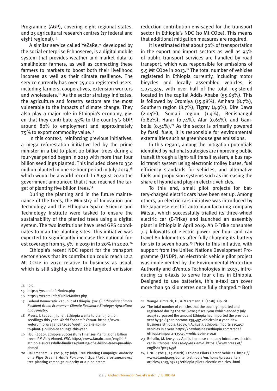Programme (AGP), covering eight regional states, and 25 agricultural research centres (17 federal and eight regional).<sup>14</sup>

A similar service called YeZaRe.<sup>15</sup> developed by the social enterprise Echnoserve, is a digital mobile system that provides weather and market data to smallholder farmers, as well as connecting these farmers to markets to boost both their livelihood incomes as well as their climate resilience. The service currently has over 35,000 registered users, including farmers, cooperatives, extension workers and wholesalers.16 As the sector strategy indicates, the agriculture and forestry sectors are the most vulnerable to the impacts of climate change. They also play a major role in Ethiopia's economy, given that they contribute  $43\%$  to the country's GDP. around 80% to employment and approximately 75% to export commodity value.17

In this context, reinforcing previous initiatives, a mega reforestation initiative led by the prime minister in a bid to plant 20 billion trees during a four-year period began in 2019 with more than four billion seedlings planted. This included close to 350 million planted in one 12-hour period in July 2019, $18$ which would be a world record. In August 2020 the government announced that it had reached the target of planting five billion trees.19

During the planting and in the future maintenance of the trees, the Ministry of Innovation and Technology and the Ethiopian Space Science and Technology Institute were tasked to ensure the sustainability of the planted trees using a digital system. The two institutions have used GPS coordinates to map the planting sites. This initiative was expected to significantly increase the national forest coverage from 15.5% in 2019 in to 20% in 2020.20

Ethiopia's recent NDC report for the transport sector shows that its contribution could reach 12.2 Mt CO2e in 2030 relative to business as usual, which is still slightly above the targeted emission

reduction contribution envisaged for the transport sector in Ethiopia's NDC (10 Mt CO2e). This means that additional mitigation measures are required.

It is estimated that about 90% of transportation in the export and import sectors as well as 95% of public transport services are handled by road transport, which was responsible for emissions of 5.5 Mt CO2e in 2013.21 The total number of vehicles registered in Ethiopia currently, including motor bicycles and locally assembled vehicles, is 1,071,345, with over half of the total registered located in the capital Addis Ababa (55.63%). This is followed by Oromiya (15.98%), Amhara (8.7%), Southern region (8.7%), Tigray (4.9%), Dire Dawa (2.04%), Somali region (1.4%), Benishangul (0.82%), Harar (0.74%), Afar (0.61%), and Gambella  $(0.51\%)$ .<sup>22</sup> As the sector is primarily powered by fossil fuels, it is responsible for environmental externalities such as greenhouse gas emissions.

In this regard, among the mitigation potentials identified by national strategies are improving public transit through a light-rail transit system, a bus rapid transit system using electronic trolley buses, fuel efficiency standards for vehicles, and alternative fuels and propulsion systems such as increasing the share of hybrid and plug-in electric vehicles.

To this end, small pilot projects for battery-charged electric cars have been set up. Among others, an electric cars initiative was introduced by the Japanese electric auto manufacturing company Mitsui, which successfully trialled its three-wheel electric car (E-Trike) and launched an assembly plant in Ethiopia in April 2019. An E-Trike consumes 7.3 kilowatts of electric power per hour and can travel 80 kilometres after fully charging its battery for six to seven hours.<sup>23</sup> Prior to this initiative, with support from the United Nations Development Programme (UNDP), an electronic vehicle pilot project was implemented by the Environmental Protection Authority and dVentus Technologies in 2013, introducing 12 e-taxis to serve four cities in Ethiopia. Designed to use batteries, this e-taxi can cover more than 50 kilometres once fully charged.<sup>24</sup> Both

<sup>14</sup> Ibid.

<sup>15</sup> <https://yezare.info/index.php>

<sup>16</sup> <https://yezare.info/PublicMarket.php>

<sup>17</sup> Federal Democratic Republic of Ethiopia. (2015). *Ethiopia's Climate Resilient Green Economy – Climate Resilience Strategy: Agriculture and Forestry*.

<sup>18</sup> Myers, J. (2020, 5 June). Ethiopia wants to plant 5 billion seedlings this year. *World Economic Forum*. [https://www.](https://www.weforum.org/agenda/2020/06/ethiopia-is-going-to-plant-5-billion-seedlings-this-year/) [weforum.org/agenda/2020/06ethiopia-is-going](https://www.weforum.org/agenda/2020/06/ethiopia-is-going-to-plant-5-billion-seedlings-this-year/)[to-plant-5-billion-seedlings-this-year](https://www.weforum.org/agenda/2020/06/ethiopia-is-going-to-plant-5-billion-seedlings-this-year/)

<sup>19</sup> FBC. (2020). Ethiopia Successfully Finalises Planting of 5 billion trees: PM Abiy Ahmed. *FBC*. [https://www.fanabc.com/english/](https://www.fanabc.com/english/ethiopia-successfully-finalizes-planting-of-5-billion-trees-pm-abiy-ahmed) [ethiopia-successfully-finalizes-planting-of-5-billion-trees-pm-abiy](https://www.fanabc.com/english/ethiopia-successfully-finalizes-planting-of-5-billion-trees-pm-abiy-ahmed)[ahmed](https://www.fanabc.com/english/ethiopia-successfully-finalizes-planting-of-5-billion-trees-pm-abiy-ahmed)

<sup>20</sup> Hailemariam, B. (2019, 27 July). Tree Planting Campaign: Audacity or a Pipe Dream? *Addis Fortune*. [https://addisfortune.news/](https://addisfortune.news/tree-planting-campaign-audacity-or-a-pipe-dream/) [tree-planting-campaign-audacity-or-a-pipe-dream](https://addisfortune.news/tree-planting-campaign-audacity-or-a-pipe-dream/)

<sup>21</sup> Wang-Helmreich, H., & Mersmann, F. (2018). Op. cit.

<sup>22</sup> The total number of vehicles that the country imported and registered during the 2018-2019 fiscal year (which ended 7 July 2019) surpassed the amount Ethiopia had imported the previous year by 30,834 to become 135,457 vehicles in a year. New Business Ethiopia. (2019, 3 August). Ethiopia imports 135,457 vehicles in a year. [https://newbusinessethiopia.com/trade/](https://newbusinessethiopia.com/trade/ethiopia-imports-135-457-vehicles-in-a-year/) [ethiopia-imports-135-457-vehicles-in-a-year](https://newbusinessethiopia.com/trade/ethiopia-imports-135-457-vehicles-in-a-year/)

<sup>23</sup> Behailu, M. (2019, 27 April). Japanese company introduces electric car in Ethiopia. *The Ethiopian Herald*. [https://www.press.et/](https://www.press.et/english/?p=5145) [english/?p=5145#](https://www.press.et/english/?p=5145)

<sup>24</sup> UNDP. (2013, 29 March). Ethiopia Pilots Electric Vehicles. [https://](https://www.et.undp.org/content/ethiopia/en/home/presscenter/articles/2013/03/29/ethiopia-pilots-electric-vehicles-.html) [www.et.undp.org/content/ethiopia/en/home/presscenter/](https://www.et.undp.org/content/ethiopia/en/home/presscenter/articles/2013/03/29/ethiopia-pilots-electric-vehicles-.html) [articles/2013/03/29/ethiopia-pilots-electric-vehicles-.html](https://www.et.undp.org/content/ethiopia/en/home/presscenter/articles/2013/03/29/ethiopia-pilots-electric-vehicles-.html)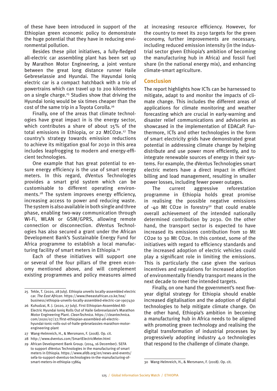of these have been introduced in support of the Ethiopian green economic policy to demonstrate the huge potential that they have in reducing environmental pollution.

Besides these pilot initiatives, a fully-fledged all-electric car assembling plant has been set up by Marathon Motor Engineering, a joint venture between the great long distance runner Haile Gebreselassie and Hyundai. The Hayundai Ioniq electric car is a compact hatchback with a trio of powertrains which can travel up to 200 kilometres on a single charge.25 Studies show that driving the Hyundai Ioniq would be six times cheaper than the cost of the same trip in a Toyota Corolla.26

Finally, one of the areas that climate technologies have great impact in is the energy sector, which contributes a share of about 15% of the total emissions in Ethiopia, or 22 MtCO2e.<sup>27</sup> The country's strategy towards emission reductions to achieve its mitigation goal for 2030 in this area includes leapfrogging to modern and energy-efficient technologies.

One example that has great potential to ensure energy efficiency is the use of smart energy meters. In this regard, dVentus Technologies provides a smart grid system which can be customisable to different operating environments.28 The system improves energy efficiency, increasing access to power and reducing waste. The system is also available in both single and three phase, enabling two-way communication through Wi-Fi, WLAN or GSM/GPRS, allowing remote connection or disconnection. dVentus Technologies has also secured a grant under the African Development Bank's Sustainable Energy Fund for Africa programme to establish a local manufacturing facility of smart meters in Ethiopia.29

Each of these initiatives will support one or several of the four pillars of the green economy mentioned above, and will complement existing programmes and policy measures aimed at increasing resource efficiency. However, for the country to meet its 2030 targets for the green economy, further improvements are necessary, including reduced emission intensity (in the industrial sector given Ethiopia's ambition of becoming the manufacturing hub in Africa) and fossil fuel share (in the national energy mix), and enhancing climate-smart agriculture.

#### **Conclusion**

The report highlights how ICTs can be harnessed to mitigate, adapt to and monitor the impacts of climate change. This includes the different areas of applications for climate monitoring and weather forecasting which are crucial in early-warning and disaster relief communications and advisories as showcased in the implementation of EDACaP. Furthermore, ICTs and other technologies in the form of smart electricity grids have demonstrated great potential in addressing climate change by helping distribute and use power more efficiently, and to integrate renewable sources of energy in their systems. For example, the dVentus Technologies smart electric meters have a direct impact in efficient billing and load management, resulting in smaller power losses, including fewer power outages.

The current aggressive reforestation programme in Ethiopia holds great promise in realising the possible negative emissions of  $-40$  Mt CO2e in forestry<sup>30</sup> that could enable overall achievement of the intended nationally determined contribution by 2030. On the other hand, the transport sector is expected to have increased its emissions contribution from 10 Mt CO2e to 30 Mt CO2e. In this context, some of the initiatives with regard to efficiency standards and the increased adoption of electric vehicles could play a significant role in limiting the emissions. This is particularly the case given the various incentives and regulations for increased adoption of environmentally friendly transport means in the next decade to meet the intended targets.

Finally, on one hand the government's next fiveyear digital strategy for Ethiopia should enable increased digitalisation and the adoption of digital technologies to help mitigate climate change. On the other hand, Ethiopia's ambition in becoming a manufacturing hub in Africa needs to be aligned with promoting green technology and realising the digital transformation of industrial processes by progressively adopting industry 4.0 technologies that respond to the challenge of climate change.

<sup>25</sup> Tekle, T. (2020, 28 July). Ethiopia unveils locally-assembled electric car. *The East African*. [https://www.theeastafrican.co.ke/tea/](https://www.theeastafrican.co.ke/tea/business/ethiopia-unveils-locally-assembled-electric-car-1907430) [business/ethiopia-unveils-locally-assembled-electric-car-1907430](https://www.theeastafrican.co.ke/tea/business/ethiopia-unveils-locally-assembled-electric-car-1907430)

<sup>26</sup> Kuhudzai, R. J. (2020, 27 July). First Ethiopian-Assembled All-Electric Hyundai Ioniq Rolls Out of Haile Gebreselassie's Marathon Motor Engineering Plant. *CleanTechnica*. [https://cleantechnica.](https://cleantechnica.com/2020/07/27/first-ethiopian-assembled-all-electric-hyundai-ionic-rolls-out-of-haile-gebrselassies-marathon-motor-engineering-plant/) [com/2020/07/27/first-ethiopian-assembled-all-electric](https://cleantechnica.com/2020/07/27/first-ethiopian-assembled-all-electric-hyundai-ionic-rolls-out-of-haile-gebrselassies-marathon-motor-engineering-plant/)[hyundai-ionic-rolls-out-of-haile-gebrselassies-marathon-motor](https://cleantechnica.com/2020/07/27/first-ethiopian-assembled-all-electric-hyundai-ionic-rolls-out-of-haile-gebrselassies-marathon-motor-engineering-plant/)[engineering-plant](https://cleantechnica.com/2020/07/27/first-ethiopian-assembled-all-electric-hyundai-ionic-rolls-out-of-haile-gebrselassies-marathon-motor-engineering-plant/)

<sup>27</sup> Wang-Helmreich, H., & Mersmann, F. (2018). Op. cit.

<sup>28</sup> <http://www.dventus.com/SmartElectricMeter.html>

<sup>29</sup> African Development Bank Group. (2014, 16 December). SEFA to support dVentus Technologies in the manufacturing of smart meters in Ethiopia. [https://www.afdb.org/en/news-and-events/](https://www.afdb.org/en/news-and-events/sefa-to-support-dventus-technologies-in-the-manufacturing-of-smart-meters-in-ethiopia-13864) [sefa-to-support-dventus-technologies-in-the-manufacturing-of](https://www.afdb.org/en/news-and-events/sefa-to-support-dventus-technologies-in-the-manufacturing-of-smart-meters-in-ethiopia-13864)[smart-meters-in-ethiopia-13864](https://www.afdb.org/en/news-and-events/sefa-to-support-dventus-technologies-in-the-manufacturing-of-smart-meters-in-ethiopia-13864)

<sup>30</sup> Wang-Helmreich, H., & Mersmann, F. (2018). Op. cit.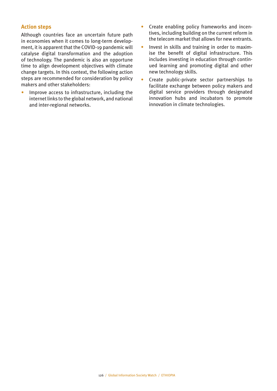#### **Action steps**

Although countries face an uncertain future path in economies when it comes to long-term development, it is apparent that the COVID-19 pandemic will catalyse digital transformation and the adoption of technology. The pandemic is also an opportune time to align development objectives with climate change targets. In this context, the following action steps are recommended for consideration by policy makers and other stakeholders:

• Improve access to infrastructure, including the internet links to the global network, and national and inter-regional networks.

- Create enabling policy frameworks and incentives, including building on the current reform in the telecom market that allows for new entrants.
- Invest in skills and training in order to maximise the benefit of digital infrastructure. This includes investing in education through continued learning and promoting digital and other new technology skills.
- Create public-private sector partnerships to facilitate exchange between policy makers and digital service providers through designated innovation hubs and incubators to promote innovation in climate technologies.